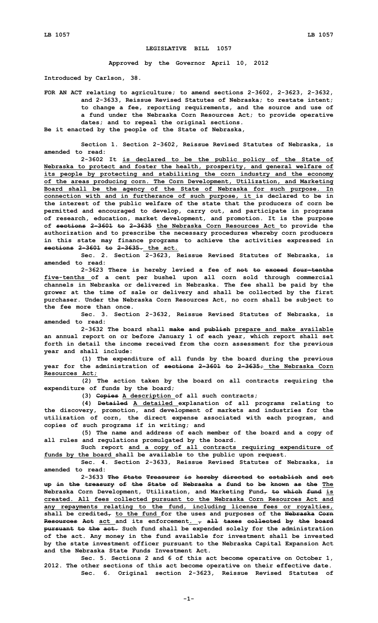## **LEGISLATIVE BILL 1057**

**Approved by the Governor April 10, 2012**

**Introduced by Carlson, 38.**

**FOR AN ACT relating to agriculture; to amend sections 2-3602, 2-3623, 2-3632, and 2-3633, Reissue Revised Statutes of Nebraska; to restate intent; to change <sup>a</sup> fee, reporting requirements, and the source and use of <sup>a</sup> fund under the Nebraska Corn Resources Act; to provide operative dates; and to repeal the original sections.**

**Be it enacted by the people of the State of Nebraska,**

**Section 1. Section 2-3602, Reissue Revised Statutes of Nebraska, is amended to read:**

**2-3602 It is declared to be the public policy of the State of Nebraska to protect and foster the health, prosperity, and general welfare of its people by protecting and stabilizing the corn industry and the economy of the areas producing corn. The Corn Development, Utilization, and Marketing Board shall be the agency of the State of Nebraska for such purpose. In connection with and in furtherance of such purpose, it is declared to be in the interest of the public welfare of the state that the producers of corn be permitted and encouraged to develop, carry out, and participate in programs of research, education, market development, and promotion. It is the purpose of sections 2-3601 to 2-3635 the Nebraska Corn Resources Act to provide the authorization and to prescribe the necessary procedures whereby corn producers in this state may finance programs to achieve the activities expressed in sections 2-3601 to 2-3635. the act.**

**Sec. 2. Section 2-3623, Reissue Revised Statutes of Nebraska, is amended to read:**

**2-3623 There is hereby levied <sup>a</sup> fee of not to exceed four-tenths five-tenths of <sup>a</sup> cent per bushel upon all corn sold through commercial channels in Nebraska or delivered in Nebraska. The fee shall be paid by the grower at the time of sale or delivery and shall be collected by the first purchaser. Under the Nebraska Corn Resources Act, no corn shall be subject to the fee more than once.**

**Sec. 3. Section 2-3632, Reissue Revised Statutes of Nebraska, is amended to read:**

**2-3632 The board shall make and publish prepare and make available an annual report on or before January 1 of each year, which report shall set forth in detail the income received from the corn assessment for the previous year and shall include:**

**(1) The expenditure of all funds by the board during the previous year for the administration of sections 2-3601 to 2-3635; the Nebraska Corn Resources Act;**

**(2) The action taken by the board on all contracts requiring the expenditure of funds by the board;**

**(3) Copies <sup>A</sup> description of all such contracts;**

**(4) Detailed <sup>A</sup> detailed explanation of all programs relating to the discovery, promotion, and development of markets and industries for the utilization of corn, the direct expense associated with each program, and copies of such programs if in writing; and**

**(5) The name and address of each member of the board and <sup>a</sup> copy of all rules and regulations promulgated by the board.**

**Such report and <sup>a</sup> copy of all contracts requiring expenditure of funds by the board shall be available to the public upon request.**

**Sec. 4. Section 2-3633, Reissue Revised Statutes of Nebraska, is amended to read:**

**2-3633 The State Treasurer is hereby directed to establish and set up in the treasury of the State of Nebraska <sup>a</sup> fund to be known as the The Nebraska Corn Development, Utilization, and Marketing Fund, to which fund is created. All fees collected pursuant to the Nebraska Corn Resources Act and any repayments relating to the fund, including license fees or royalties, shall be credited, to the fund for the uses and purposes of the Nebraska Corn Resources Act act and its enforcement. , all taxes collected by the board pursuant to the act. Such fund shall be expended solely for the administration of the act. Any money in the fund available for investment shall be invested by the state investment officer pursuant to the Nebraska Capital Expansion Act and the Nebraska State Funds Investment Act.**

**Sec. 5. Sections 2 and 6 of this act become operative on October 1, 2012. The other sections of this act become operative on their effective date. Sec. 6. Original section 2-3623, Reissue Revised Statutes of**